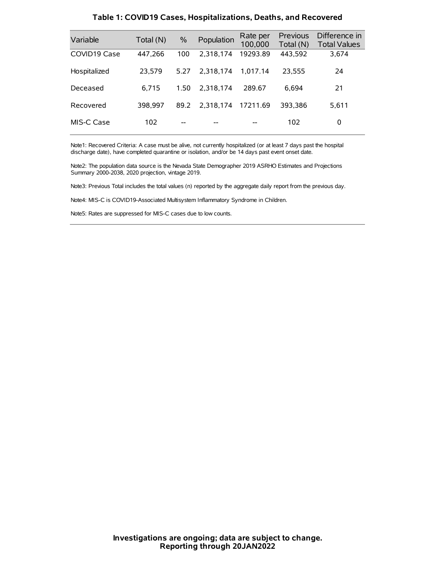| Variable     | Total (N) | $\frac{0}{0}$ | Population | Rate per<br>100,000 | <b>Previous</b><br>Total (N) | Difference in<br><b>Total Values</b> |
|--------------|-----------|---------------|------------|---------------------|------------------------------|--------------------------------------|
| COVID19 Case | 447,266   | 100           | 2.318.174  | 19293.89            | 443,592                      | 3,674                                |
| Hospitalized | 23.579    | 5.27          | 2.318.174  | 1.017.14            | 23.555                       | 24                                   |
| Deceased     | 6.715     | 1.50          | 2.318.174  | 289.67              | 6,694                        | 21                                   |
| Recovered    | 398.997   | 89.2          | 2.318.174  | 17211.69            | 393.386                      | 5,611                                |
| MIS-C Case   | 102       | --            |            |                     | 102                          | 0                                    |

#### **Table 1: COVID19 Cases, Hospitalizations, Deaths, and Recovered**

Note1: Recovered Criteria: A case must be alive, not currently hospitalized (or at least 7 days past the hospital discharge date), have completed quarantine or isolation, and/or be 14 days past event onset date.

Note2: The population data source is the Nevada State Demographer 2019 ASRHO Estimates and Projections Summary 2000-2038, 2020 projection, vintage 2019.

Note3: Previous Total includes the total values (n) reported by the aggregate daily report from the previous day.

Note4: MIS-C is COVID19-Associated Multisystem Inflammatory Syndrome in Children.

Note5: Rates are suppressed for MIS-C cases due to low counts.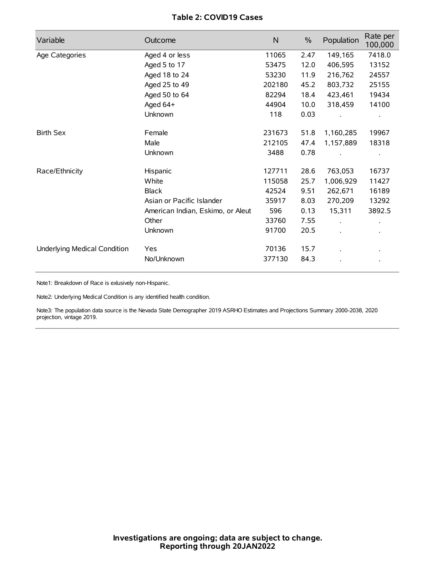# **Table 2: COVID19 Cases**

| Variable                     | Outcome                           | $\mathsf{N}$ | $\%$ | Population           | Rate per<br>100,000 |
|------------------------------|-----------------------------------|--------------|------|----------------------|---------------------|
| Age Categories               | Aged 4 or less                    | 11065        | 2.47 | 149,165              | 7418.0              |
|                              | Aged 5 to 17                      | 53475        | 12.0 | 406,595              | 13152               |
|                              | Aged 18 to 24                     | 53230        | 11.9 | 216,762              | 24557               |
|                              | Aged 25 to 49                     | 202180       | 45.2 | 803,732              | 25155               |
|                              | Aged 50 to 64                     | 82294        | 18.4 | 423,461              | 19434               |
|                              | Aged 64+                          | 44904        | 10.0 | 318,459              | 14100               |
|                              | Unknown                           | 118          | 0.03 |                      |                     |
| <b>Birth Sex</b>             | Female                            | 231673       | 51.8 | 1,160,285            | 19967               |
|                              | Male                              | 212105       | 47.4 | 1,157,889            | 18318               |
|                              | Unknown                           | 3488         | 0.78 |                      |                     |
| Race/Ethnicity               | Hispanic                          | 127711       | 28.6 | 763,053              | 16737               |
|                              | White                             | 115058       | 25.7 | 1,006,929            | 11427               |
|                              | <b>Black</b>                      | 42524        | 9.51 | 262,671              | 16189               |
|                              | Asian or Pacific Islander         | 35917        | 8.03 | 270,209              | 13292               |
|                              | American Indian, Eskimo, or Aleut | 596          | 0.13 | 15,311               | 3892.5              |
|                              | Other                             | 33760        | 7.55 | $\ddot{\phantom{0}}$ |                     |
|                              | <b>Unknown</b>                    | 91700        | 20.5 | $\cdot$              |                     |
| Underlying Medical Condition | Yes                               | 70136        | 15.7 |                      |                     |
|                              | No/Unknown                        | 377130       | 84.3 |                      |                     |

Note1: Breakdown of Race is exlusively non-Hispanic.

Note2: Underlying Medical Condition is any identified health condition.

Note3: The population data source is the Nevada State Demographer 2019 ASRHO Estimates and Projections Summary 2000-2038, 2020 projection, vintage 2019.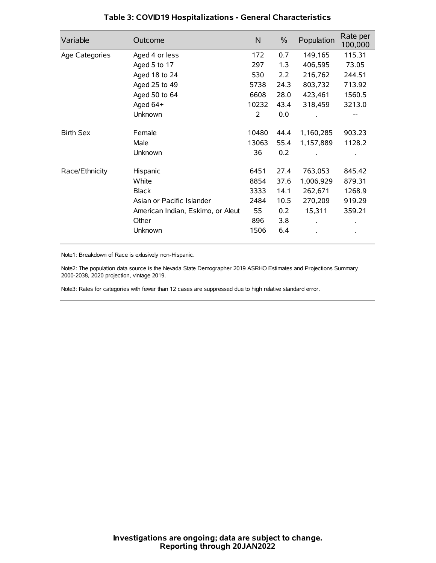| Variable         | Outcome                           | $\mathsf{N}$ | $\%$ | Population | Rate per<br>100,000 |
|------------------|-----------------------------------|--------------|------|------------|---------------------|
| Age Categories   | Aged 4 or less                    | 172          | 0.7  | 149,165    | 115.31              |
|                  | Aged 5 to 17                      | 297          | 1.3  | 406,595    | 73.05               |
|                  | Aged 18 to 24                     | 530          | 2.2  | 216,762    | 244.51              |
|                  | Aged 25 to 49                     | 5738         | 24.3 | 803,732    | 713.92              |
|                  | Aged 50 to 64                     | 6608         | 28.0 | 423,461    | 1560.5              |
|                  | Aged 64+                          | 10232        | 43.4 | 318,459    | 3213.0              |
|                  | Unknown                           | 2            | 0.0  |            |                     |
| <b>Birth Sex</b> | Female                            | 10480        | 44.4 | 1,160,285  | 903.23              |
|                  | Male                              | 13063        | 55.4 | 1,157,889  | 1128.2              |
|                  | Unknown                           | 36           | 0.2  |            |                     |
| Race/Ethnicity   | Hispanic                          | 6451         | 27.4 | 763,053    | 845.42              |
|                  | White                             | 8854         | 37.6 | 1,006,929  | 879.31              |
|                  | <b>Black</b>                      | 3333         | 14.1 | 262,671    | 1268.9              |
|                  | Asian or Pacific Islander         | 2484         | 10.5 | 270,209    | 919.29              |
|                  | American Indian, Eskimo, or Aleut | 55           | 0.2  | 15,311     | 359.21              |
|                  | Other                             | 896          | 3.8  |            |                     |
|                  | Unknown                           | 1506         | 6.4  |            |                     |

## **Table 3: COVID19 Hospitalizations - General Characteristics**

Note1: Breakdown of Race is exlusively non-Hispanic.

Note2: The population data source is the Nevada State Demographer 2019 ASRHO Estimates and Projections Summary 2000-2038, 2020 projection, vintage 2019.

Note3: Rates for categories with fewer than 12 cases are suppressed due to high relative standard error.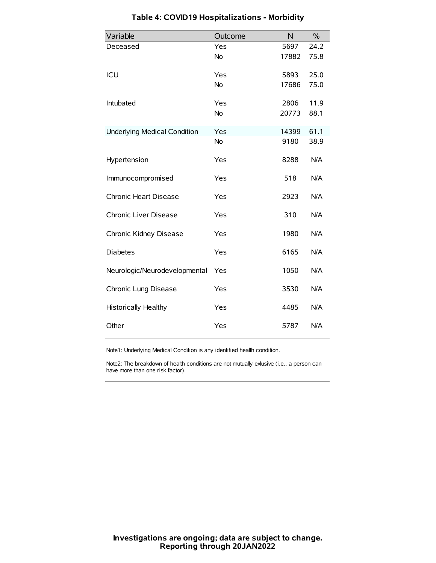| Variable                            | Outcome   | N     | $\frac{0}{0}$ |
|-------------------------------------|-----------|-------|---------------|
| Deceased                            | Yes       | 5697  | 24.2          |
|                                     | <b>No</b> | 17882 | 75.8          |
| ICU                                 | Yes       | 5893  | 25.0          |
|                                     | <b>No</b> | 17686 | 75.0          |
| Intubated                           | Yes       | 2806  | 11.9          |
|                                     | <b>No</b> | 20773 | 88.1          |
| <b>Underlying Medical Condition</b> | Yes       | 14399 | 61.1          |
|                                     | No        | 9180  | 38.9          |
| Hypertension                        | Yes       | 8288  | N/A           |
| Immunocompromised                   | Yes       | 518   | N/A           |
| Chronic Heart Disease               | Yes       | 2923  | N/A           |
| Chronic Liver Disease               | Yes       | 310   | N/A           |
| Chronic Kidney Disease              | Yes       | 1980  | N/A           |
| <b>Diabetes</b>                     | Yes       | 6165  | N/A           |
| Neurologic/Neurodevelopmental       | Yes       | 1050  | N/A           |
| Chronic Lung Disease                | Yes       | 3530  | N/A           |
| <b>Historically Healthy</b>         | Yes       | 4485  | N/A           |
| Other                               | Yes       | 5787  | N/A           |

# **Table 4: COVID19 Hospitalizations - Morbidity**

Note1: Underlying Medical Condition is any identified health condition.

Note2: The breakdown of health conditions are not mutually exlusive (i.e., a person can have more than one risk factor).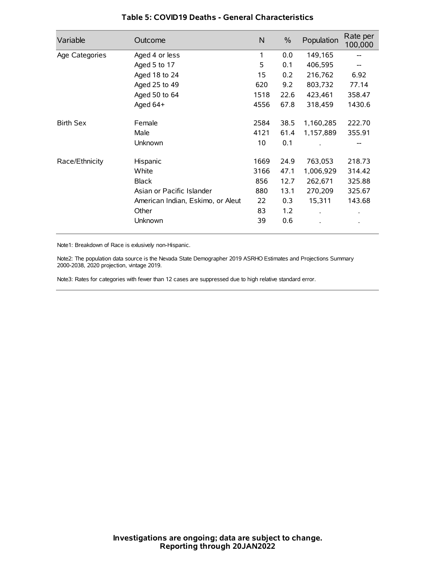| Variable         | Outcome                           | N    | $\%$ | Population           | Rate per<br>100,000 |
|------------------|-----------------------------------|------|------|----------------------|---------------------|
| Age Categories   | Aged 4 or less                    | 1    | 0.0  | 149,165              |                     |
|                  | Aged 5 to 17                      | 5    | 0.1  | 406,595              |                     |
|                  | Aged 18 to 24                     | 15   | 0.2  | 216,762              | 6.92                |
|                  | Aged 25 to 49                     | 620  | 9.2  | 803,732              | 77.14               |
|                  | Aged 50 to 64                     | 1518 | 22.6 | 423,461              | 358.47              |
|                  | Aged 64+                          | 4556 | 67.8 | 318,459              | 1430.6              |
| <b>Birth Sex</b> | Female                            | 2584 | 38.5 | 1,160,285            | 222.70              |
|                  | Male                              | 4121 | 61.4 | 1,157,889            | 355.91              |
|                  | Unknown                           | 10   | 0.1  |                      | --                  |
| Race/Ethnicity   | Hispanic                          | 1669 | 24.9 | 763,053              | 218.73              |
|                  | White                             | 3166 | 47.1 | 1,006,929            | 314.42              |
|                  | <b>Black</b>                      | 856  | 12.7 | 262,671              | 325.88              |
|                  | Asian or Pacific Islander         | 880  | 13.1 | 270,209              | 325.67              |
|                  | American Indian, Eskimo, or Aleut | 22   | 0.3  | 15,311               | 143.68              |
|                  | Other                             | 83   | 1.2  | $\ddot{\phantom{0}}$ | $\bullet$           |
|                  | Unknown                           | 39   | 0.6  |                      | $\bullet$           |

### **Table 5: COVID19 Deaths - General Characteristics**

Note1: Breakdown of Race is exlusively non-Hispanic.

Note2: The population data source is the Nevada State Demographer 2019 ASRHO Estimates and Projections Summary 2000-2038, 2020 projection, vintage 2019.

Note3: Rates for categories with fewer than 12 cases are suppressed due to high relative standard error.